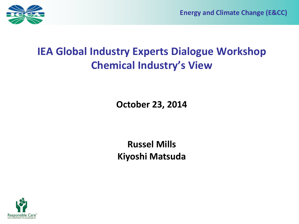

## **IEA Global Industry Experts Dialogue Workshop Chemical Industry's View**

**October 23, 2014**

**Russel Mills Kiyoshi Matsuda**

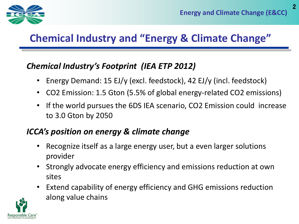

2

## **Chemical Industry and "Energy & Climate Change"**

#### *Chemical Industry's Footprint (IEA ETP 2012)*

- Energy Demand: 15 EJ/y (excl. feedstock), 42 EJ/y (incl. feedstock)
- CO2 Emission: 1.5 Gton (5.5% of global energy-related CO2 emissions)
- If the world pursues the 6DS IEA scenario, CO2 Emission could increase to 3.0 Gton by 2050

#### *ICCA's position on energy & climate change*

- Recognize itself as a large energy user, but a even larger solutions provider
- Strongly advocate energy efficiency and emissions reduction at own sites
- Extend capability of energy efficiency and GHG emissions reduction along value chains

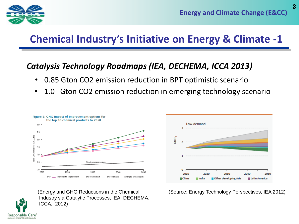

Responsible Care<sup>®</sup>

### **Chemical Industry's Initiative on Energy & Climate -1**

#### *Catalysis Technology Roadmaps (IEA, DECHEMA, ICCA 2013)*

- 0.85 Gton CO2 emission reduction in BPT optimistic scenario
- 1.0 Gton CO2 emission reduction in emerging technology scenario





Industry via Catalytic Processes, IEA, DECHEMA, ICCA, 2012)

(Energy and GHG Reductions in the Chemical (Source: Energy Technology Perspectives, IEA 2012)

3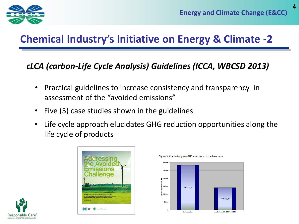

4

## **Chemical Industry's Initiative on Energy & Climate -2**

#### *cLCA (carbon-Life Cycle Analysis) Guidelines (ICCA, WBCSD 2013)*

- Practical guidelines to increase consistency and transparency in assessment of the "avoided emissions"
- Five (5) case studies shown in the guidelines
- Life cycle approach elucidates GHG reduction opportunities along the life cycle of products





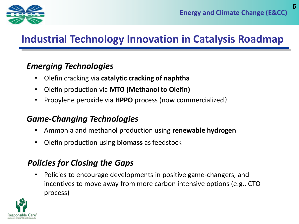

### **Industrial Technology Innovation in Catalysis Roadmap**

#### *Emerging Technologies*

- Olefin cracking via **catalytic cracking of naphtha**
- Olefin production via **MTO (Methanol to Olefin)**
- Propylene peroxide via **HPPO** process (now commercialized)

### *Game-Changing Technologies*

- Ammonia and methanol production using **renewable hydrogen**
- Olefin production using **biomass** as feedstock

### *Policies for Closing the Gaps*

• Policies to encourage developments in positive game-changers, and incentives to move away from more carbon intensive options (e.g., CTO process)